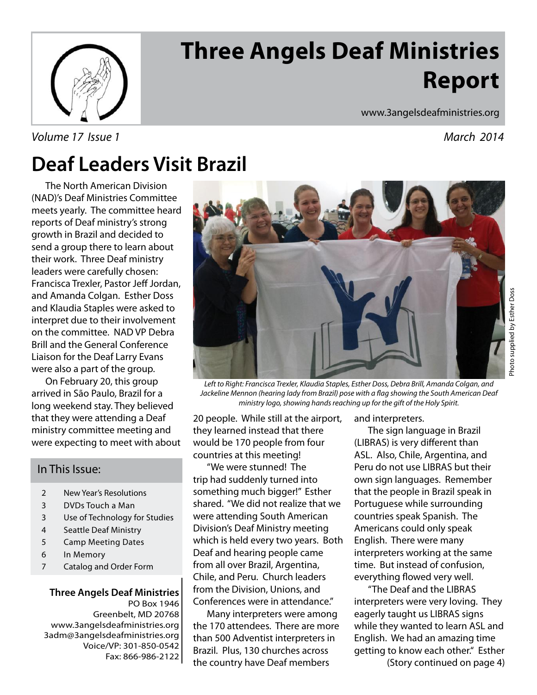

# **Three Angels Deaf Ministries Report**

Volume 17 Issue 1 November 17 Issue 1 November 17 Issue 1 November 19 Issue 1 November 17 Issue 1 November 19

www.3angelsdeafministries.org

### **Deaf Leaders Visit Brazil**

 The North American Division (NAD)'s Deaf Ministries Committee meets yearly. The committee heard reports of Deaf ministry's strong growth in Brazil and decided to send a group there to learn about their work. Three Deaf ministry leaders were carefully chosen: Francisca Trexler, Pastor Jeff Jordan, and Amanda Colgan. Esther Doss and Klaudia Staples were asked to interpret due to their involvement on the committee. NAD VP Debra Brill and the General Conference Liaison for the Deaf Larry Evans were also a part of the group.

 On February 20, this group arrived in São Paulo, Brazil for a long weekend stay. They believed that they were attending a Deaf ministry committee meeting and were expecting to meet with about

#### In This Issue:

- 2 New Year's Resolutions
- 3 DVDs Touch a Man
- 3 Use of Technology for Studies
- 4 Seattle Deaf Ministry
- 5 Camp Meeting Dates
- 6 In Memory
- 7 Catalog and Order Form

**Three Angels Deaf Ministries** PO Box 1946 Greenbelt, MD 20768 www.3angelsdeafministries.org 3adm@3angelsdeafministries.org Voice/VP: 301-850-0542 Fax: 866-986-2122



Left to Right: Francisca Trexler, Klaudia Staples, Esther Doss, Debra Brill, Amanda Colgan, and Jackeline Mennon (hearing lady from Brazil) pose with a flag showing the South American Deaf ministry logo, showing hands reaching up for the gift of the Holy Spirit.

20 people. While still at the airport, they learned instead that there would be 170 people from four countries at this meeting!

 "We were stunned! The trip had suddenly turned into something much bigger!" Esther shared. "We did not realize that we were attending South American Division's Deaf Ministry meeting which is held every two years. Both Deaf and hearing people came from all over Brazil, Argentina, Chile, and Peru. Church leaders from the Division, Unions, and Conferences were in attendance."

 Many interpreters were among the 170 attendees. There are more than 500 Adventist interpreters in Brazil. Plus, 130 churches across the country have Deaf members

and interpreters.

 The sign language in Brazil (LIBRAS) is very different than ASL. Also, Chile, Argentina, and Peru do not use LIBRAS but their own sign languages. Remember that the people in Brazil speak in Portuguese while surrounding countries speak Spanish. The Americans could only speak English. There were many interpreters working at the same time. But instead of confusion, everything flowed very well.

 "The Deaf and the LIBRAS interpreters were very loving. They eagerly taught us LIBRAS signs while they wanted to learn ASL and English. We had an amazing time getting to know each other." Esther (Story continued on page 4)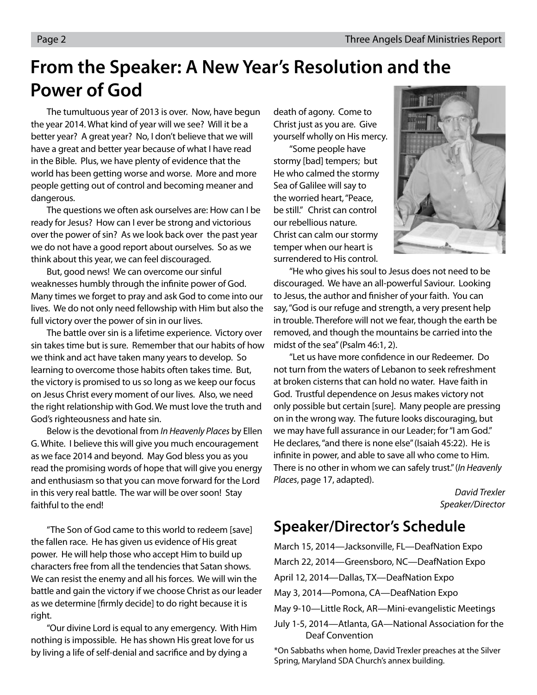### **From the Speaker: A New Year's Resolution and the Power of God**

 The tumultuous year of 2013 is over. Now, have begun the year 2014. What kind of year will we see? Will it be a better year? A great year? No, I don't believe that we will have a great and better year because of what I have read in the Bible. Plus, we have plenty of evidence that the world has been getting worse and worse. More and more people getting out of control and becoming meaner and dangerous.

 The questions we often ask ourselves are: How can I be ready for Jesus? How can I ever be strong and victorious over the power of sin? As we look back over the past year we do not have a good report about ourselves. So as we think about this year, we can feel discouraged.

 But, good news! We can overcome our sinful weaknesses humbly through the infinite power of God. Many times we forget to pray and ask God to come into our lives. We do not only need fellowship with Him but also the full victory over the power of sin in our lives.

 The battle over sin is a lifetime experience. Victory over sin takes time but is sure. Remember that our habits of how we think and act have taken many years to develop. So learning to overcome those habits often takes time. But, the victory is promised to us so long as we keep our focus on Jesus Christ every moment of our lives. Also, we need the right relationship with God. We must love the truth and God's righteousness and hate sin.

 Below is the devotional from In Heavenly Places by Ellen G. White. I believe this will give you much encouragement as we face 2014 and beyond. May God bless you as you read the promising words of hope that will give you energy and enthusiasm so that you can move forward for the Lord in this very real battle. The war will be over soon! Stay faithful to the end!

 "The Son of God came to this world to redeem [save] the fallen race. He has given us evidence of His great power. He will help those who accept Him to build up characters free from all the tendencies that Satan shows. We can resist the enemy and all his forces. We will win the battle and gain the victory if we choose Christ as our leader as we determine [firmly decide] to do right because it is right.

 "Our divine Lord is equal to any emergency. With Him nothing is impossible. He has shown His great love for us by living a life of self-denial and sacrifice and by dying a

death of agony. Come to Christ just as you are. Give yourself wholly on His mercy.

 "Some people have stormy [bad] tempers; but He who calmed the stormy Sea of Galilee will say to the worried heart, "Peace, be still." Christ can control our rebellious nature. Christ can calm our stormy temper when our heart is surrendered to His control.



 "He who gives his soul to Jesus does not need to be discouraged. We have an all-powerful Saviour. Looking to Jesus, the author and finisher of your faith. You can say, "God is our refuge and strength, a very present help in trouble. Therefore will not we fear, though the earth be removed, and though the mountains be carried into the midst of the sea" (Psalm 46:1, 2).

"Let us have more confidence in our Redeemer. Do not turn from the waters of Lebanon to seek refreshment at broken cisterns that can hold no water. Have faith in God. Trustful dependence on Jesus makes victory not only possible but certain [sure]. Many people are pressing on in the wrong way. The future looks discouraging, but we may have full assurance in our Leader; for "I am God." He declares, "and there is none else" (Isaiah 45:22). He is infinite in power, and able to save all who come to Him. There is no other in whom we can safely trust." (In Heavenly Places, page 17, adapted).

> David Trexler Speaker/Director

### **Speaker/Director's Schedule**

March 15, 2014—Jacksonville, FL—DeafNation Expo March 22, 2014—Greensboro, NC—DeafNation Expo April 12, 2014—Dallas, TX—DeafNation Expo May 3, 2014—Pomona, CA—DeafNation Expo May 9-10—Little Rock, AR—Mini-evangelistic Meetings July 1-5, 2014—Atlanta, GA—National Association for the Deaf Convention

\*On Sabbaths when home, David Trexler preaches at the Silver Spring, Maryland SDA Church's annex building.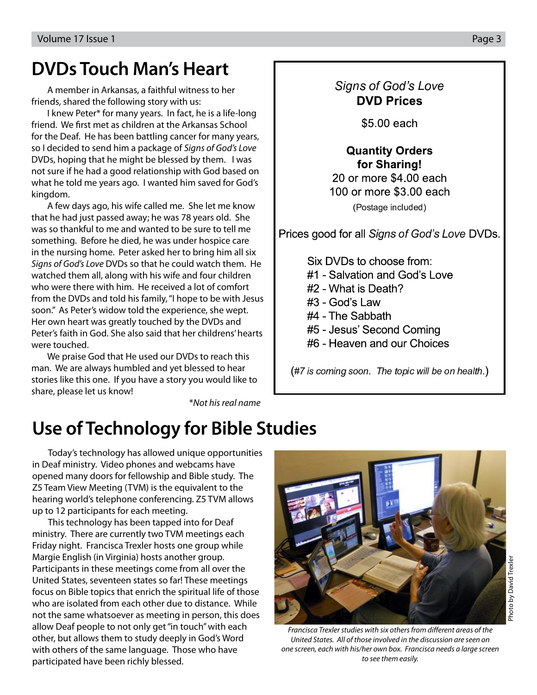### **DVDs Touch Man's Heart**

 A member in Arkansas, a faithful witness to her friends, shared the following story with us:

 I knew Peter\* for many years. In fact, he is a life-long friend. We first met as children at the Arkansas School for the Deaf. He has been battling cancer for many years, so I decided to send him a package of Signs of God's Love DVDs, hoping that he might be blessed by them. I was not sure if he had a good relationship with God based on what he told me years ago. I wanted him saved for God's kingdom.

 A few days ago, his wife called me. She let me know that he had just passed away; he was 78 years old. She was so thankful to me and wanted to be sure to tell me something. Before he died, he was under hospice care in the nursing home. Peter asked her to bring him all six Signs of God's Love DVDs so that he could watch them. He watched them all, along with his wife and four children who were there with him. He received a lot of comfort from the DVDs and told his family, "I hope to be with Jesus soon." As Peter's widow told the experience, she wept. Her own heart was greatly touched by the DVDs and Peter's faith in God. She also said that her childrens' hearts were touched.

 We praise God that He used our DVDs to reach this man. We are always humbled and yet blessed to hear stories like this one. If you have a story you would like to share, please let us know!

\*Not his real name

### -  **DVD Prices**

\$5,00 each

#### **Quantity Orders** for Sharing!

20 or more \$4,00 each 100 or more \$3,00 each (Postage included)

Sians of God's Lov

Six DVDs to choose from: #1 - Salvation and God's Love #2 - What is Death? #3 - God's Law #4 - The Sabbath #5 - Jesus' Second Coming #6 - Heaven and our Choices

 $#7$  is coming soon. The topic will be on health.)

### **Use of Technology for Bible Studies**

Today's technology has allowed unique opportunities in Deaf ministry. Video phones and webcams have opened many doors for fellowship and Bible study. The Z5 Team View Meeting (TVM) is the equivalent to the hearing world's telephone conferencing. Z5 TVM allows up to 12 participants for each meeting.

This technology has been tapped into for Deaf ministry. There are currently two TVM meetings each Friday night. Francisca Trexler hosts one group while Margie English (in Virginia) hosts another group. Participants in these meetings come from all over the United States, seventeen states so far! These meetings focus on Bible topics that enrich the spiritual life of those who are isolated from each other due to distance. While not the same whatsoever as meeting in person, this does allow Deaf people to not only get "in touch" with each other, but allows them to study deeply in God's Word with others of the same language. Those who have participated have been richly blessed.



Francisca Trexler studies with six others from different areas of the United States. All of those involved in the discussion are seen on one screen, each with his/her own box. Francisca needs a large screen to see them easily.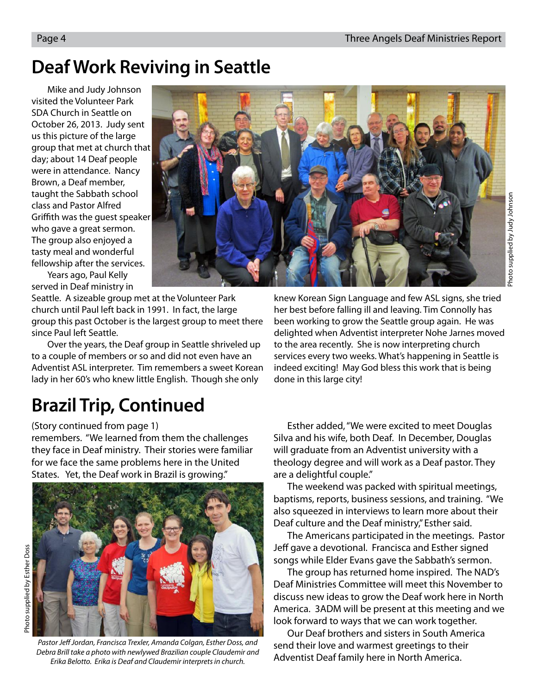### **Deaf Work Reviving in Seattle**

Mike and Judy Johnson visited the Volunteer Park SDA Church in Seattle on October 26, 2013. Judy sent us this picture of the large group that met at church that day; about 14 Deaf people were in attendance. Nancy Brown, a Deaf member, taught the Sabbath school class and Pastor Alfred Griffith was the quest speaker who gave a great sermon. The group also enjoyed a tasty meal and wonderful fellowship after the services.



Years ago, Paul Kelly served in Deaf ministry in

Seattle. A sizeable group met at the Volunteer Park church until Paul left back in 1991. In fact, the large group this past October is the largest group to meet there since Paul left Seattle.

Over the years, the Deaf group in Seattle shriveled up to a couple of members or so and did not even have an Adventist ASL interpreter. Tim remembers a sweet Korean lady in her 60's who knew little English. Though she only

## **Brazil Trip, Continued**

(Story continued from page 1)

remembers. "We learned from them the challenges they face in Deaf ministry. Their stories were familiar for we face the same problems here in the United States. Yet, the Deaf work in Brazil is growing."



Photo supplied by Esther Doss Photo supplied by Esther Doss

Pastor Jeff Jordan, Francisca Trexler, Amanda Colgan, Esther Doss, and Debra Brill take a photo with newlywed Brazilian couple Claudemir and Erika Belotto. Erika is Deaf and Claudemir interprets in church.

knew Korean Sign Language and few ASL signs, she tried her best before falling ill and leaving. Tim Connolly has been working to grow the Seattle group again. He was delighted when Adventist interpreter Nohe Jarnes moved to the area recently. She is now interpreting church services every two weeks. What's happening in Seattle is indeed exciting! May God bless this work that is being done in this large city!

 Esther added, "We were excited to meet Douglas Silva and his wife, both Deaf. In December, Douglas will graduate from an Adventist university with a theology degree and will work as a Deaf pastor. They are a delightful couple."

 The weekend was packed with spiritual meetings, baptisms, reports, business sessions, and training. "We also squeezed in interviews to learn more about their Deaf culture and the Deaf ministry," Esther said.

 The Americans participated in the meetings. Pastor Jeff gave a devotional. Francisca and Esther signed songs while Elder Evans gave the Sabbath's sermon.

 The group has returned home inspired. The NAD's Deaf Ministries Committee will meet this November to discuss new ideas to grow the Deaf work here in North America. 3ADM will be present at this meeting and we look forward to ways that we can work together.

 Our Deaf brothers and sisters in South America send their love and warmest greetings to their Adventist Deaf family here in North America.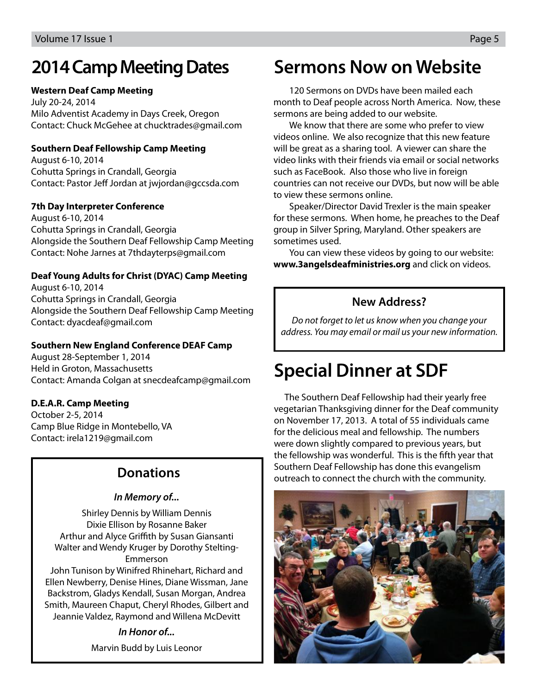### **2014 Camp Meeting Dates**

#### **Western Deaf Camp Meeting**

July 20-24, 2014 Milo Adventist Academy in Days Creek, Oregon Contact: Chuck McGehee at chucktrades@gmail.com

#### **Southern Deaf Fellowship Camp Meeting**

August 6-10, 2014 Cohutta Springs in Crandall, Georgia Contact: Pastor Jeff Jordan at jwjordan@gccsda.com

#### **7th Day Interpreter Conference**

August 6-10, 2014 Cohutta Springs in Crandall, Georgia Alongside the Southern Deaf Fellowship Camp Meeting Contact: Nohe Jarnes at 7thdayterps@gmail.com

#### **Deaf Young Adults for Christ (DYAC) Camp Meeting**

August 6-10, 2014 Cohutta Springs in Crandall, Georgia Alongside the Southern Deaf Fellowship Camp Meeting Contact: dyacdeaf@gmail.com

#### **Southern New England Conference DEAF Camp**

August 28-September 1, 2014 Held in Groton, Massachusetts Contact: Amanda Colgan at snecdeafcamp@gmail.com

#### **D.E.A.R. Camp Meeting**

October 2-5, 2014 Camp Blue Ridge in Montebello, VA Contact: irela1219@gmail.com

#### **Donations**

#### **In Memory of...**

Shirley Dennis by William Dennis Dixie Ellison by Rosanne Baker Arthur and Alyce Griffith by Susan Giansanti Walter and Wendy Kruger by Dorothy Stelting-Emmerson

John Tunison by Winifred Rhinehart, Richard and Ellen Newberry, Denise Hines, Diane Wissman, Jane Backstrom, Gladys Kendall, Susan Morgan, Andrea Smith, Maureen Chaput, Cheryl Rhodes, Gilbert and Jeannie Valdez, Raymond and Willena McDevitt

#### **In Honor of...**

Marvin Budd by Luis Leonor

### **Sermons Now on Website**

120 Sermons on DVDs have been mailed each month to Deaf people across North America. Now, these sermons are being added to our website.

We know that there are some who prefer to view videos online. We also recognize that this new feature will be great as a sharing tool. A viewer can share the video links with their friends via email or social networks such as FaceBook. Also those who live in foreign countries can not receive our DVDs, but now will be able to view these sermons online.

Speaker/Director David Trexler is the main speaker for these sermons. When home, he preaches to the Deaf group in Silver Spring, Maryland. Other speakers are sometimes used.

You can view these videos by going to our website: **www.3angelsdeafministries.org** and click on videos.

#### **New Address?**

Do not forget to let us know when you change your address. You may email or mail us your new information.

### **Special Dinner at SDF**

The Southern Deaf Fellowship had their yearly free vegetarian Thanksgiving dinner for the Deaf community on November 17, 2013. A total of 55 individuals came for the delicious meal and fellowship. The numbers were down slightly compared to previous years, but the fellowship was wonderful. This is the fifth year that Southern Deaf Fellowship has done this evangelism outreach to connect the church with the community.

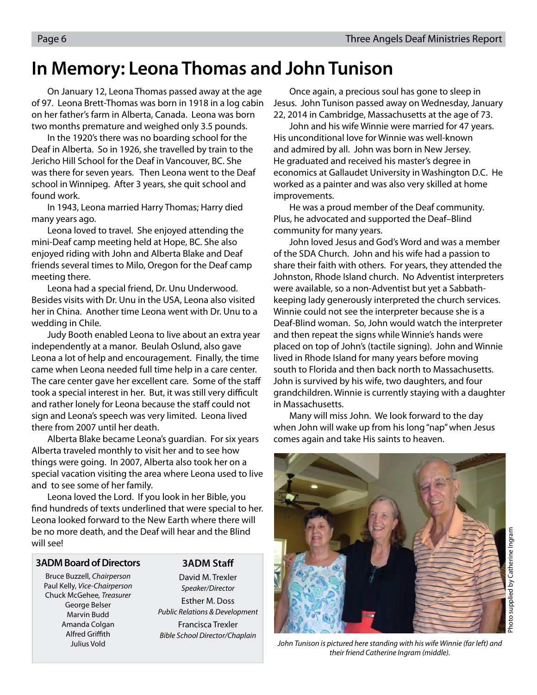### **In Memory: Leona Thomas and John Tunison**

On January 12, Leona Thomas passed away at the age of 97. Leona Brett-Thomas was born in 1918 in a log cabin on her father's farm in Alberta, Canada. Leona was born two months premature and weighed only 3.5 pounds.

In the 1920's there was no boarding school for the Deaf in Alberta. So in 1926, she travelled by train to the Jericho Hill School for the Deaf in Vancouver, BC. She was there for seven years. Then Leona went to the Deaf school in Winnipeg. After 3 years, she quit school and found work.

In 1943, Leona married Harry Thomas; Harry died many years ago.

Leona loved to travel. She enjoyed attending the mini-Deaf camp meeting held at Hope, BC. She also enjoyed riding with John and Alberta Blake and Deaf friends several times to Milo, Oregon for the Deaf camp meeting there.

Leona had a special friend, Dr. Unu Underwood. Besides visits with Dr. Unu in the USA, Leona also visited her in China. Another time Leona went with Dr. Unu to a wedding in Chile.

Judy Booth enabled Leona to live about an extra year independently at a manor. Beulah Oslund, also gave Leona a lot of help and encouragement. Finally, the time came when Leona needed full time help in a care center. The care center gave her excellent care. Some of the staff took a special interest in her. But, it was still very difficult and rather lonely for Leona because the staff could not sign and Leona's speech was very limited. Leona lived there from 2007 until her death.

Alberta Blake became Leona's guardian. For six years Alberta traveled monthly to visit her and to see how things were going. In 2007, Alberta also took her on a special vacation visiting the area where Leona used to live and to see some of her family.

Leona loved the Lord. If you look in her Bible, you find hundreds of texts underlined that were special to her. Leona looked forward to the New Earth where there will be no more death, and the Deaf will hear and the Blind will see!

#### **3ADM Board of Directors**

Bruce Buzzell, Chairperson Paul Kelly, Vice-Chairperson Chuck McGehee, Treasurer George Belser Marvin Budd Amanda Colgan Alfred Griffith Julius Vold

**3ADM Staff** 

David M. Trexler Speaker/Director Esther M. Doss Public Relations & Development Francisca Trexler Bible School Director/Chaplain

Once again, a precious soul has gone to sleep in Jesus. John Tunison passed away on Wednesday, January 22, 2014 in Cambridge, Massachusetts at the age of 73.

John and his wife Winnie were married for 47 years. His unconditional love for Winnie was well-known and admired by all. John was born in New Jersey. He graduated and received his master's degree in economics at Gallaudet University in Washington D.C. He worked as a painter and was also very skilled at home improvements.

He was a proud member of the Deaf community. Plus, he advocated and supported the Deaf–Blind community for many years.

John loved Jesus and God's Word and was a member of the SDA Church. John and his wife had a passion to share their faith with others. For years, they attended the Johnston, Rhode Island church. No Adventist interpreters were available, so a non-Adventist but yet a Sabbathkeeping lady generously interpreted the church services. Winnie could not see the interpreter because she is a Deaf-Blind woman. So, John would watch the interpreter and then repeat the signs while Winnie's hands were placed on top of John's (tactile signing). John and Winnie lived in Rhode Island for many years before moving south to Florida and then back north to Massachusetts. John is survived by his wife, two daughters, and four grandchildren. Winnie is currently staying with a daughter in Massachusetts.

Many will miss John. We look forward to the day when John will wake up from his long "nap" when Jesus comes again and take His saints to heaven.



John Tunison is pictured here standing with his wife Winnie (far left) and their friend Catherine Ingram (middle).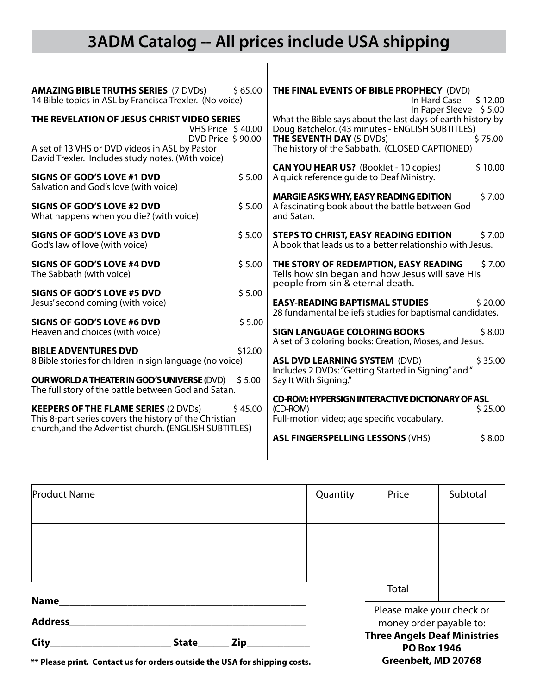### **3ADM Catalog -- All prices include USA shipping**

 $\overline{\phantom{a}}$ 

| <b>AMAZING BIBLE TRUTHS SERIES (7 DVDs)</b><br>\$65.00<br>14 Bible topics in ASL by Francisca Trexler. (No voice)                                                         | <b>THE FINAL EVENTS OF BIBLE PROPHECY (DVD)</b><br>In Hard Case<br>\$12.00<br>In Paper Sleeve \$5.00                                                          |
|---------------------------------------------------------------------------------------------------------------------------------------------------------------------------|---------------------------------------------------------------------------------------------------------------------------------------------------------------|
| THE REVELATION OF JESUS CHRIST VIDEO SERIES<br>VHS Price \$40.00<br>DVD Price \$90.00                                                                                     | What the Bible says about the last days of earth history by<br>Doug Batchelor. (43 minutes - ENGLISH SUBTITLES)<br><b>THE SEVENTH DAY (5 DVDs)</b><br>\$75.00 |
| A set of 13 VHS or DVD videos in ASL by Pastor<br>David Trexler. Includes study notes. (With voice)                                                                       | The history of the Sabbath. (CLOSED CAPTIONED)                                                                                                                |
| \$5.00<br><b>SIGNS OF GOD'S LOVE #1 DVD</b><br>Salvation and God's love (with voice)                                                                                      | <b>CAN YOU HEAR US?</b> (Booklet - 10 copies)<br>\$10.00<br>A quick reference quide to Deaf Ministry.                                                         |
| \$5.00<br><b>SIGNS OF GOD'S LOVE #2 DVD</b><br>What happens when you die? (with voice)                                                                                    | <b>MARGIE ASKS WHY, EASY READING EDITION</b><br>\$7.00<br>A fascinating book about the battle between God<br>and Satan.                                       |
| <b>SIGNS OF GOD'S LOVE #3 DVD</b><br>\$5.00<br>God's law of love (with voice)                                                                                             | <b>STEPS TO CHRIST, EASY READING EDITION</b><br>\$7.00<br>A book that leads us to a better relationship with Jesus.                                           |
| <b>SIGNS OF GOD'S LOVE #4 DVD</b><br>\$5.00<br>The Sabbath (with voice)                                                                                                   | THE STORY OF REDEMPTION, EASY READING<br>\$7.00<br>Tells how sin began and how Jesus will save His<br>people from sin & eternal death.                        |
| \$5.00<br>SIGNS OF GOD'S LOVE #5 DVD<br>Jesus' second coming (with voice)                                                                                                 | <b>EASY-READING BAPTISMAL STUDIES</b><br>\$20.00<br>28 fundamental beliefs studies for baptismal candidates.                                                  |
| SIGNS OF GOD'S LOVE #6 DVD<br>\$5.00<br>Heaven and choices (with voice)                                                                                                   | \$8.00<br><b>SIGN LANGUAGE COLORING BOOKS</b><br>A set of 3 coloring books: Creation, Moses, and Jesus.                                                       |
| \$12.00<br><b>BIBLE ADVENTURES DVD</b><br>8 Bible stories for children in sign language (no voice)                                                                        | <b>ASL DVD LEARNING SYSTEM (DVD)</b><br>\$35.00<br>Includes 2 DVDs: "Getting Started in Signing" and "                                                        |
| <b>OUR WORLD A THEATER IN GOD'S UNIVERSE (DVD)</b><br>\$5.00<br>The full story of the battle between God and Satan.                                                       | Say It With Signing."                                                                                                                                         |
| <b>KEEPERS OF THE FLAME SERIES (2 DVDs)</b><br>\$45.00<br>This 8-part series covers the history of the Christian<br>church, and the Adventist church. (ENGLISH SUBTITLES) | <b>CD-ROM: HYPERSIGN INTERACTIVE DICTIONARY OF ASL</b><br>(CD-ROM)<br>\$25.00<br>Full-motion video; age specific vocabulary.                                  |
|                                                                                                                                                                           | \$8.00<br><b>ASL FINGERSPELLING LESSONS (VHS)</b>                                                                                                             |

| <b>Product Name</b>    |                                                                                  |  | Quantity                                             | Price | Subtotal |
|------------------------|----------------------------------------------------------------------------------|--|------------------------------------------------------|-------|----------|
|                        |                                                                                  |  |                                                      |       |          |
|                        |                                                                                  |  |                                                      |       |          |
|                        |                                                                                  |  |                                                      |       |          |
|                        |                                                                                  |  |                                                      |       |          |
|                        |                                                                                  |  |                                                      | Total |          |
| Name<br><b>Address</b> |                                                                                  |  | Please make your check or<br>money order payable to: |       |          |
| City                   | <b>Three Angels Deaf Ministries</b><br>Zip<br><b>State</b><br><b>PO Box 1946</b> |  |                                                      |       |          |

**Greenbelt, MD 20768**

**\*\* Please print. Contact us for orders outside the USA for shipping costs.**